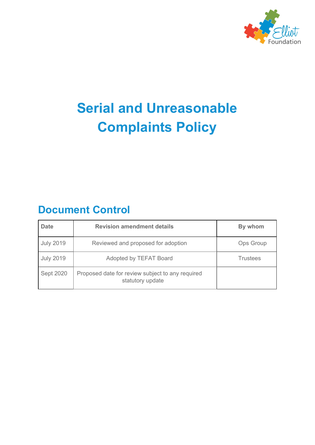

# **Serial and Unreasonable Complaints Policy**

## **Document Control**

| <b>Date</b>      | <b>Revision amendment details</b>                                    | By whom          |
|------------------|----------------------------------------------------------------------|------------------|
| <b>July 2019</b> | Reviewed and proposed for adoption                                   | <b>Ops Group</b> |
| <b>July 2019</b> | Adopted by TEFAT Board                                               | <b>Trustees</b>  |
| Sept 2020        | Proposed date for review subject to any required<br>statutory update |                  |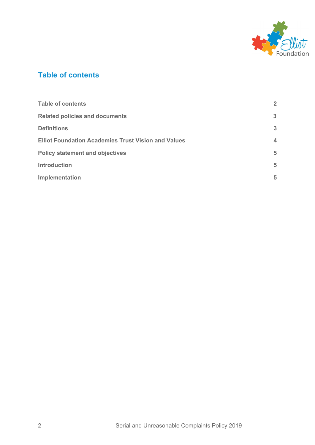

## <span id="page-1-2"></span><span id="page-1-0"></span>**Table of contents**

<span id="page-1-1"></span>

| <b>Table of contents</b>                                   | $\mathbf{2}$ |
|------------------------------------------------------------|--------------|
| <b>Related policies and documents</b>                      | 3            |
| <b>Definitions</b>                                         | 3            |
| <b>Elliot Foundation Academies Trust Vision and Values</b> | 4            |
| <b>Policy statement and objectives</b>                     |              |
| <b>Introduction</b>                                        | 5            |
| Implementation                                             | 5            |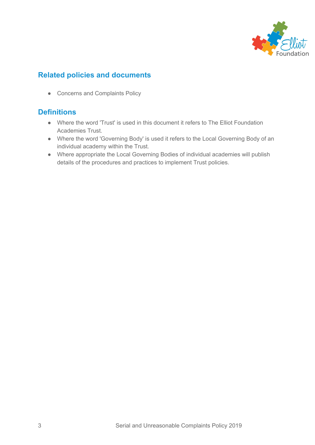

## **Related policies and documents**

• Concerns and Complaints Policy

#### **Definitions**

- Where the word 'Trust' is used in this document it refers to The Elliot Foundation Academies Trust.
- Where the word 'Governing Body' is used it refers to the Local Governing Body of an individual academy within the Trust.
- Where appropriate the Local Governing Bodies of individual academies will publish details of the procedures and practices to implement Trust policies.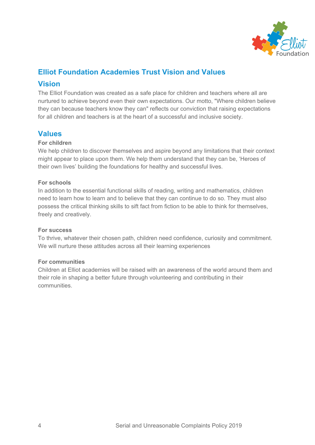

## <span id="page-3-0"></span>**Elliot Foundation Academies Trust Vision and Values**

#### **Vision**

The Elliot Foundation was created as a safe place for children and teachers where all are nurtured to achieve beyond even their own expectations. Our motto, "Where children believe they can because teachers know they can" reflects our conviction that raising expectations for all children and teachers is at the heart of a successful and inclusive society.

#### **Values**

#### **For children**

We help children to discover themselves and aspire beyond any limitations that their context might appear to place upon them. We help them understand that they can be, 'Heroes of their own lives' building the foundations for healthy and successful lives.

#### **For schools**

In addition to the essential functional skills of reading, writing and mathematics, children need to learn how to learn and to believe that they can continue to do so. They must also possess the critical thinking skills to sift fact from fiction to be able to think for themselves, freely and creatively.

#### **For success**

To thrive, whatever their chosen path, children need confidence, curiosity and commitment. We will nurture these attitudes across all their learning experiences

#### **For communities**

Children at Elliot academies will be raised with an awareness of the world around them and their role in shaping a better future through volunteering and contributing in their communities.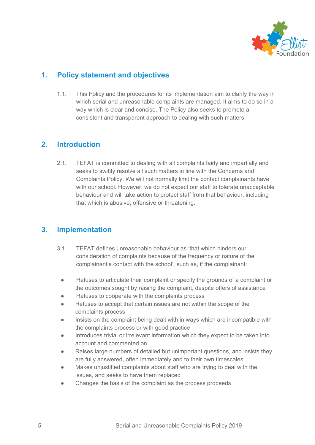

## **1. Policy statement and objectives**

1.1. This Policy and the procedures for its implementation aim to clarify the way in which serial and unreasonable complaints are managed. It aims to do so in a way which is clear and concise. The Policy also seeks to promote a consistent and transparent approach to dealing with such matters.

## **2. Introduction**

2.1. TEFAT is committed to dealing with all complaints fairly and impartially and seeks to swiftly resolve all such matters in line with the Concerns and Complaints Policy. We will not normally limit the contact complainants have with our school. However, we do not expect our staff to tolerate unacceptable behaviour and will take action to protect staff from that behaviour, including that which is abusive, offensive or threatening.

## **3. Implementation**

- 3.1. TEFAT defines unreasonable behaviour as 'that which hinders our consideration of complaints because of the frequency or nature of the complainant's contact with the school', such as, if the complainant:
	- Refuses to articulate their complaint or specify the grounds of a complaint or the outcomes sought by raising the complaint, despite offers of assistance
	- Refuses to cooperate with the complaints process
	- Refuses to accept that certain issues are not within the scope of the complaints process
	- Insists on the complaint being dealt with in ways which are incompatible with the complaints process or with good practice
	- Introduces trivial or irrelevant information which they expect to be taken into account and commented on
	- Raises large numbers of detailed but unimportant questions, and insists they are fully answered, often immediately and to their own timescales
	- Makes unjustified complaints about staff who are trying to deal with the issues, and seeks to have them replaced
	- Changes the basis of the complaint as the process proceeds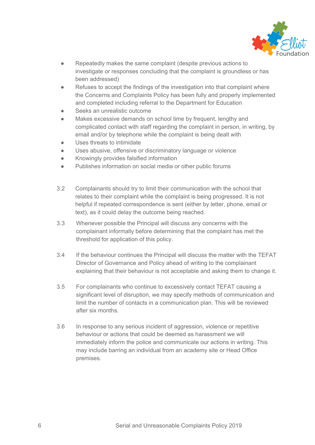

- Repeatedly makes the same complaint (despite previous actions to investigate or responses concluding that the complaint is groundless or has been addressed)
- Refuses to accept the findings of the investigation into that complaint where the Concerns and Complaints Policy has been fully and properly implemented and completed including referral to the Department for Education
- Seeks an unrealistic outcome
- Makes excessive demands on school time by frequent, lengthy and complicated contact with staff regarding the complaint in person, in writing, by email and/or by telephone while the complaint is being dealt with
- Uses threats to intimidate
- Uses abusive, offensive or discriminatory language or violence
- Knowingly provides falsified information
- Publishes information on social media or other public forums
- 3.2 Complainants should try to limit their communication with the school that relates to their complaint while the complaint is being progressed. It is not helpful if repeated correspondence is sent (either by letter, phone, email or text), as it could delay the outcome being reached.
- 3.3 Whenever possible the Principal will discuss any concerns with the complainant informally before determining that the complaint has met the threshold for application of this policy.
- 3.4 If the behaviour continues the Principal will discuss the matter with the TEFAT Director of Governance and Policy ahead of writing to the complainant explaining that their behaviour is not acceptable and asking them to change it.
- 3.5 For complainants who continue to excessively contact TEFAT causing a significant level of disruption, we may specify methods of communication and limit the number of contacts in a communication plan. This will be reviewed after six months.
- 3.6 In response to any serious incident of aggression, violence or repetitive behaviour or actions that could be deemed as harassment we will immediately inform the police and communicate our actions in writing. This may include barring an individual from an academy site or Head Office premises.